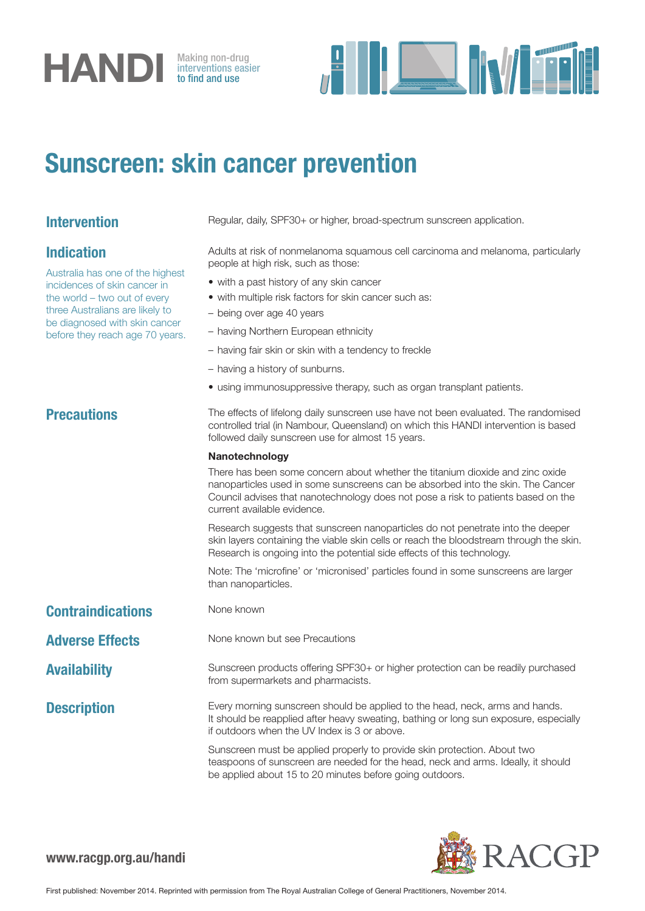# **HANDI** Making non-drug<br>to find and use

interventions easier to find and use



## Sunscreen: skin cancer prevention

## Indication

Australia has one of the highest incidences of skin cancer in the world – two out of every three Australians are likely to be diagnosed with skin cancer before they reach age 70 years.

Intervention Regular, daily, SPF30+ or higher, broad-spectrum sunscreen application.

Adults at risk of nonmelanoma squamous cell carcinoma and melanoma, particularly people at high risk, such as those:

- with a past history of any skin cancer
- with multiple risk factors for skin cancer such as:
- being over age 40 years
- having Northern European ethnicity
- having fair skin or skin with a tendency to freckle
- having a history of sunburns.
- using immunosuppressive therapy, such as organ transplant patients.

**Precautions** The effects of lifelong daily sunscreen use have not been evaluated. The randomised controlled trial (in Nambour, Queensland) on which this HANDI intervention is based followed daily sunscreen use for almost 15 years.

### Nanotechnology

There has been some concern about whether the titanium dioxide and zinc oxide nanoparticles used in some sunscreens can be absorbed into the skin. The Cancer Council advises that nanotechnology does not pose a risk to patients based on the current available evidence.

Research suggests that sunscreen nanoparticles do not penetrate into the deeper skin layers containing the viable skin cells or reach the bloodstream through the skin. Research is ongoing into the potential side effects of this technology.

Note: The 'microfine' or 'micronised' particles found in some sunscreens are larger than nanoparticles.

### Contraindications None known

Adverse Effects None known but see Precautions

Availability Sunscreen products offering SPF30+ or higher protection can be readily purchased

from supermarkets and pharmacists. **Description** Every morning sunscreen should be applied to the head, neck, arms and hands.

It should be reapplied after heavy sweating, bathing or long sun exposure, especially if outdoors when the UV Index is 3 or above.

Sunscreen must be applied properly to provide skin protection. About two teaspoons of sunscreen are needed for the head, neck and arms. Ideally, it should be applied about 15 to 20 minutes before going outdoors.



www.racgp.org.au/handi